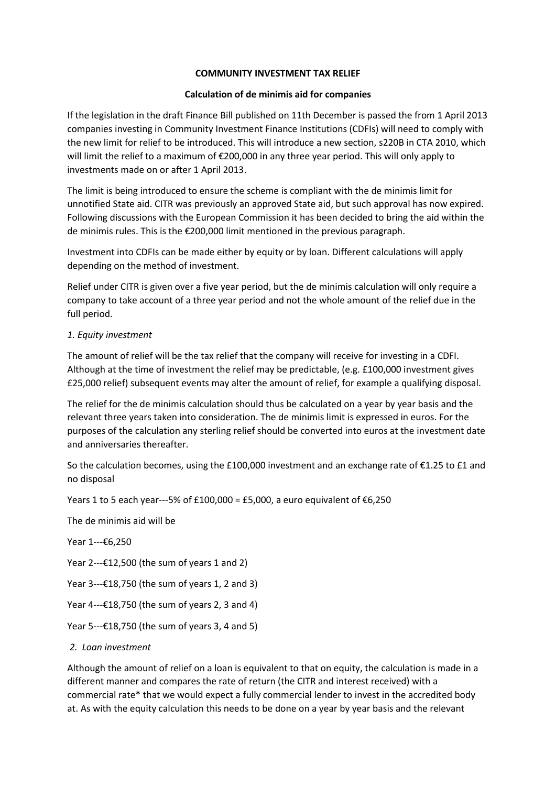## **COMMUNITY INVESTMENT TAX RELIEF**

## **Calculation of de minimis aid for companies**

If the legislation in the draft Finance Bill published on 11th December is passed the from 1 April 2013 companies investing in Community Investment Finance Institutions (CDFIs) will need to comply with the new limit for relief to be introduced. This will introduce a new section, s220B in CTA 2010, which will limit the relief to a maximum of €200,000 in any three year period. This will only apply to investments made on or after 1 April 2013.

The limit is being introduced to ensure the scheme is compliant with the de minimis limit for unnotified State aid. CITR was previously an approved State aid, but such approval has now expired. Following discussions with the European Commission it has been decided to bring the aid within the de minimis rules. This is the €200,000 limit mentioned in the previous paragraph.

Investment into CDFIs can be made either by equity or by loan. Different calculations will apply depending on the method of investment.

Relief under CITR is given over a five year period, but the de minimis calculation will only require a company to take account of a three year period and not the whole amount of the relief due in the full period.

### *1. Equity investment*

The amount of relief will be the tax relief that the company will receive for investing in a CDFI. Although at the time of investment the relief may be predictable, (e.g. £100,000 investment gives £25,000 relief) subsequent events may alter the amount of relief, for example a qualifying disposal.

The relief for the de minimis calculation should thus be calculated on a year by year basis and the relevant three years taken into consideration. The de minimis limit is expressed in euros. For the purposes of the calculation any sterling relief should be converted into euros at the investment date and anniversaries thereafter.

So the calculation becomes, using the £100,000 investment and an exchange rate of €1.25 to £1 and no disposal

Years 1 to 5 each year---5% of £100,000 = £5,000, a euro equivalent of €6,250

The de minimis aid will be

Year 1---€6,250

Year  $2--£12,500$  (the sum of years 1 and 2)

Year  $3--£18,750$  (the sum of years 1, 2 and 3)

Year  $4--£18,750$  (the sum of years 2, 3 and 4)

Year 5--- $£18,750$  (the sum of years 3, 4 and 5)

#### *2. Loan investment*

Although the amount of relief on a loan is equivalent to that on equity, the calculation is made in a different manner and compares the rate of return (the CITR and interest received) with a commercial rate\* that we would expect a fully commercial lender to invest in the accredited body at. As with the equity calculation this needs to be done on a year by year basis and the relevant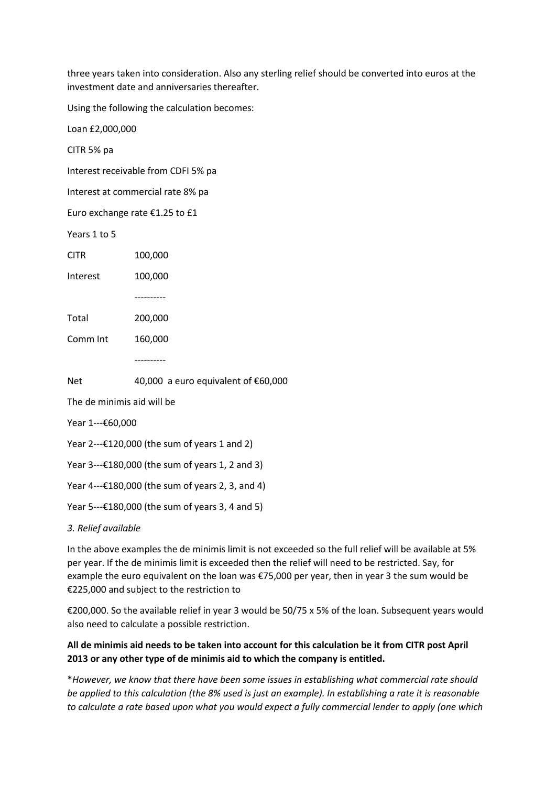three years taken into consideration. Also any sterling relief should be converted into euros at the investment date and anniversaries thereafter.

Using the following the calculation becomes:

Loan £2,000,000

CITR 5% pa

Interest receivable from CDFI 5% pa

Interest at commercial rate 8% pa

Euro exchange rate €1.25 to £1

Years 1 to 5

CITR 100,000

Interest 100,000

----------

Comm Int 160,000

----------

Net 40,000 a euro equivalent of €60,000

The de minimis aid will be

Year 1---€60,000

Year 2---€120,000 (the sum of years 1 and 2)

Year 3---€180,000 (the sum of years 1, 2 and 3)

Year 4---€180,000 (the sum of years 2, 3, and 4)

Year 5---€180,000 (the sum of years 3, 4 and 5)

*3. Relief available* 

In the above examples the de minimis limit is not exceeded so the full relief will be available at 5% per year. If the de minimis limit is exceeded then the relief will need to be restricted. Say, for example the euro equivalent on the loan was €75,000 per year, then in year 3 the sum would be €225,000 and subject to the restriction to

€200,000. So the available relief in year 3 would be 50/75 x 5% of the loan. Subsequent years would also need to calculate a possible restriction.

# **All de minimis aid needs to be taken into account for this calculation be it from CITR post April 2013 or any other type of de minimis aid to which the company is entitled.**

\**However, we know that there have been some issues in establishing what commercial rate should be applied to this calculation (the 8% used is just an example). In establishing a rate it is reasonable to calculate a rate based upon what you would expect a fully commercial lender to apply (one which*